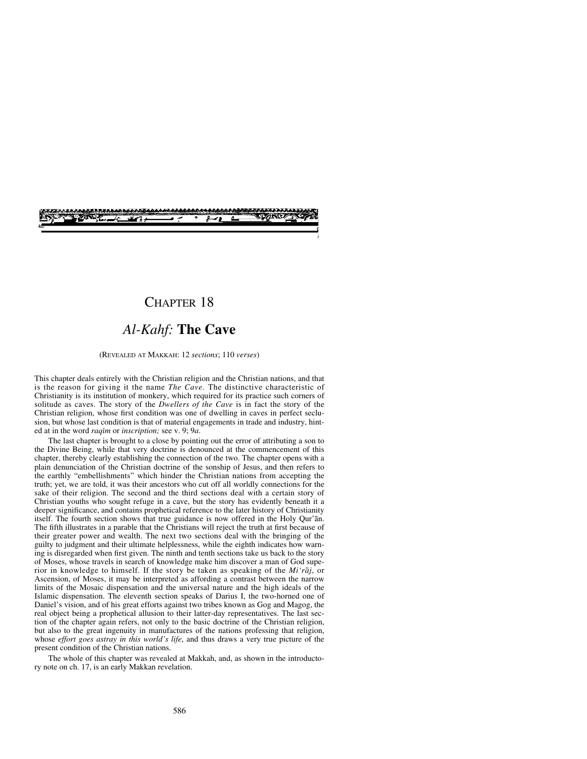# CHAPTER 18

# *Al-Kahf:* **The Cave**

#### (REVEALED AT MAKKAH: 12 *sections*; 110 *verses*)

This chapter deals entirely with the Christian religion and the Christian nations, and that is the reason for giving it the name *The Cave.* The distinctive characteristic of Christianity is its institution of monkery, which required for its practice such corners of solitude as caves. The story of the *Dwellers of the Cave* is in fact the story of the Christian religion, whose first condition was one of dwelling in caves in perfect seclusion, but whose last condition is that of material engagements in trade and industry, hinted at in the word *raque* or *inscription*; see v. 9; 9*a*.

The last chapter is brought to a close by pointing out the error of attributing a son to the Divine Being, while that very doctrine is denounced at the commencement of this chapter, thereby clearly establishing the connection of the two. The chapter opens with a plain denunciation of the Christian doctrine of the sonship of Jesus, and then refers to the earthly "embellishments" which hinder the Christian nations from accepting the truth; yet, we are told, it was their ancestors who cut off all worldly connections for the sake of their religion. The second and the third sections deal with a certain story of Christian youths who sought refuge in a cave, but the story has evidently beneath it a deeper significance, and contains prophetical reference to the later history of Christianity itself. The fourth section shows that true guidance is now offered in the Holy Qur'ån. The fifth illustrates in a parable that the Christians will reject the truth at first because of their greater power and wealth. The next two sections deal with the bringing of the guilty to judgment and their ultimate helplessness, while the eighth indicates how warning is disregarded when first given. The ninth and tenth sections take us back to the story of Moses, whose travels in search of knowledge make him discover a man of God superior in knowledge to himself. If the story be taken as speaking of the *Mi'råj*, or Ascension, of Moses, it may be interpreted as affording a contrast between the narrow limits of the Mosaic dispensation and the universal nature and the high ideals of the Islamic dispensation. The eleventh section speaks of Darius I, the two-horned one of Daniel's vision, and of his great efforts against two tribes known as Gog and Magog, the real object being a prophetical allusion to their latter-day representatives. The last section of the chapter again refers, not only to the basic doctrine of the Christian religion, but also to the great ingenuity in manufactures of the nations professing that religion, whose *effort goes astray in this world's life*, and thus draws a very true picture of the present condition of the Christian nations.

The whole of this chapter was revealed at Makkah, and, as shown in the introductory note on ch. 17, is an early Makkan revelation.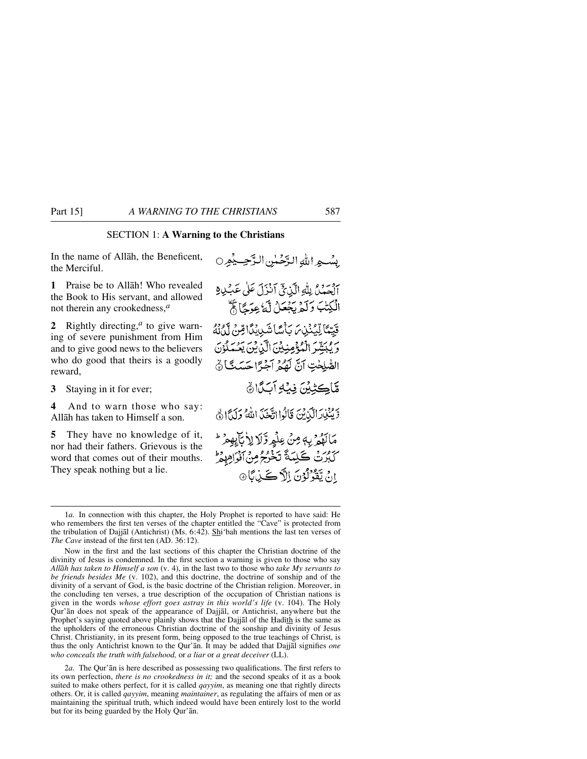# SECTION 1: **A Warning to the Christians**

In the name of Allåh, the Beneficent, the Merciful.

**1** Praise be to Allåh! Who revealed the Book to His servant, and allowed not therein any crookedness,*<sup>a</sup>*

**2** Rightly directing,*<sup>a</sup>* to give warning of severe punishment from Him and to give good news to the believers who do good that theirs is a goodly reward,

**3** Staying in it for ever;

**4** And to warn those who say: Allåh has taken to Himself a son.

**5** They have no knowledge of it, nor had their fathers. Grievous is the word that comes out of their mouths. They speak nothing but a lie.

بِينْسِهِ اللَّهَ الرَّحْمِلِينِ الدَّحِسِيْمِرِ 0 آلْهَمَنْ بِلَّهِ الَّذِيِّ آَنْزَلَ عَلَى عَبْدِيْ الْكِتْبَ وَلَمْ يَجْعَلْ لَّهُ عِوَجًا ثَمَّ قَيِّمًا لِّيُنْذِينَ يَأْسًا شَبِيبِكَا قِنْ لَمْدَنَّهُ وَيُبَيِّنُوالْمُؤْمِنِيْنَ الَّذِينَ يَعْمَلُوْنَ الصَّلِحْتِ آنَّ لَهُمُ آجَرًّا حَسَدًا ﴾ مَّاكِيْيْنَ فِيۡلِمَ آبَكَانَ 5 يَكْنِدَرَاتِيْنِينَ قَالُوا اتَّخَذَ اللَّهُ وَلَدًا فَي مَالَهُمْ بِهِ مِنْ عِلْمِ وَّلَا لِأَبَاءِهِمْ ۖ كَبُرُتْ كَلِمَةً تَخْرُجُ مِنْ أَفْوَاهِهِ وَإِ انَ يَقْرُلُوْنَ اِلاَّ ڪَذِبَا®

2*a.* The Qur'ån is here described as possessing two qualifications. The first refers to its own perfection, *there is no crookedness in it;* and the second speaks of it as a book suited to make others perfect, for it is called *qayyim*, as meaning one that rightly directs others. Or, it is called *qayyim*, meaning *maintainer*, as regulating the affairs of men or as maintaining the spiritual truth, which indeed would have been entirely lost to the world but for its being guarded by the Holy Qur'ån.

<sup>1</sup>*a.* In connection with this chapter, the Holy Prophet is reported to have said: He who remembers the first ten verses of the chapter entitled the "Cave" is protected from the tribulation of Dajjål (Antichrist) (Ms. 6:42). Shi'bah mentions the last ten verses of *The Cave* instead of the first ten (AD. 36:12).

Now in the first and the last sections of this chapter the Christian doctrine of the divinity of Jesus is condemned. In the first section a warning is given to those who say *Allåh has taken to Himself a son* (v. 4), in the last two to those who *take My servants to be friends besides Me* (v. 102), and this doctrine, the doctrine of sonship and of the divinity of a servant of God, is the basic doctrine of the Christian religion. Moreover, in the concluding ten verses, a true description of the occupation of Christian nations is given in the words *whose effort goes astray in this world's life* (v. 104). The Holy Qur'ån does not speak of the appearance of Dajjål, or Antichrist, anywhere but the Prophet's saying quoted above plainly shows that the Dajjal of the Hadith is the same as the upholders of the erroneous Christian doctrine of the sonship and divinity of Jesus Christ. Christianity, in its present form, being opposed to the true teachings of Christ, is thus the only Antichrist known to the Qur'ån. It may be added that Dajjål signifies *one who conceals the truth with falsehood,* or *a liar* or *a great deceiver* (LL).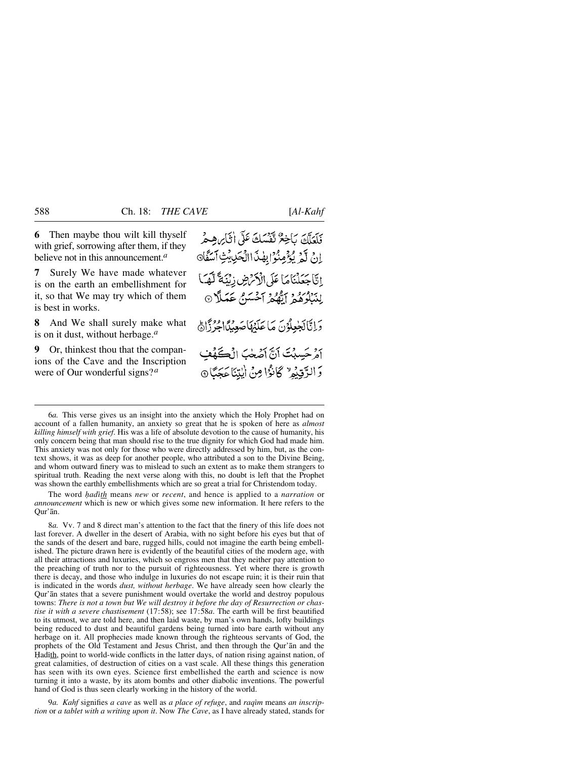**6** Then maybe thou wilt kill thyself with grief, sorrowing after them, if they believe not in this announcement.*<sup>a</sup>*

**7** Surely We have made whatever is on the earth an embellishment for it, so that We may try which of them is best in works.

**8** And We shall surely make what is on it dust, without herbage.*<sup>a</sup>*

**9** Or, thinkest thou that the companions of the Cave and the Inscription were of Our wonderful signs?*<sup>a</sup>*

فَلَعَلَّكَ بَاخِعٌ تَفْسَكَ عَلَى أَثَابِ هِجْر انْ لَمْ يُؤْمِنُوْا بِهْذَاالْحَرِيْثِ آسَفَّا إِنَّا جَعَلْنَاهَا عَلَى الْأَمْرُضِ زِيْنَةً لَّهَا) لِنَبْلُوَهُمْ إِيَّهُمْ آَحْسَنُ عَمَلًا 9 دَانَّالْخِعِلْدُنَ مَا عَلَيْهَا صَعِيْلًا مِنْ ذَاهِ أَمْرِ حَسِبْتَ أَنَّ أَصَّحْبَ إِنْ كَمَفْ وَ الرَّقِيْمِ ۗ كَانُوَا مِنْ ايْتِنَا عَجَبًا ۞

6*a.* This verse gives us an insight into the anxiety which the Holy Prophet had on account of a fallen humanity, an anxiety so great that he is spoken of here as *almost killing himself with grief*. His was a life of absolute devotion to the cause of humanity, his only concern being that man should rise to the true dignity for which God had made him. This anxiety was not only for those who were directly addressed by him, but, as the context shows, it was as deep for another people, who attributed a son to the Divine Being, and whom outward finery was to mislead to such an extent as to make them strangers to spiritual truth. Reading the next verse along with this, no doubt is left that the Prophet was shown the earthly embellishments which are so great a trial for Christendom today.

The word *hadith* means *new* or *recent*, and hence is applied to a *narration* or *announcement* which is new or which gives some new information. It here refers to the Qur'ån.

8*a.* Vv. 7 and 8 direct man's attention to the fact that the finery of this life does not last forever. A dweller in the desert of Arabia, with no sight before his eyes but that of the sands of the desert and bare, rugged hills, could not imagine the earth being embellished. The picture drawn here is evidently of the beautiful cities of the modern age, with all their attractions and luxuries, which so engross men that they neither pay attention to the preaching of truth nor to the pursuit of righteousness. Yet where there is growth there is decay, and those who indulge in luxuries do not escape ruin; it is their ruin that is indicated in the words *dust, without herbage*. We have already seen how clearly the Qur'ån states that a severe punishment would overtake the world and destroy populous towns: *There is not a town but We will destroy it before the day of Resurrection or chastise it with a severe chastisement* (17:58); see 17:58*a*. The earth will be first beautified to its utmost, we are told here, and then laid waste, by man's own hands, lofty buildings being reduced to dust and beautiful gardens being turned into bare earth without any herbage on it. All prophecies made known through the righteous servants of God, the prophets of the Old Testament and Jesus Christ, and then through the Qur'ån and the Hadith, point to world-wide conflicts in the latter days, of nation rising against nation, of great calamities, of destruction of cities on a vast scale. All these things this generation has seen with its own eyes. Science first embellished the earth and science is now turning it into a waste, by its atom bombs and other diabolic inventions. The powerful hand of God is thus seen clearly working in the history of the world.

9*a. Kahf* signifies *a cave* as well as *a place of refuge*, and *raqßm* means *an inscription* or *a tablet with a writing upon it*. Now *The Cave*, as I have already stated, stands for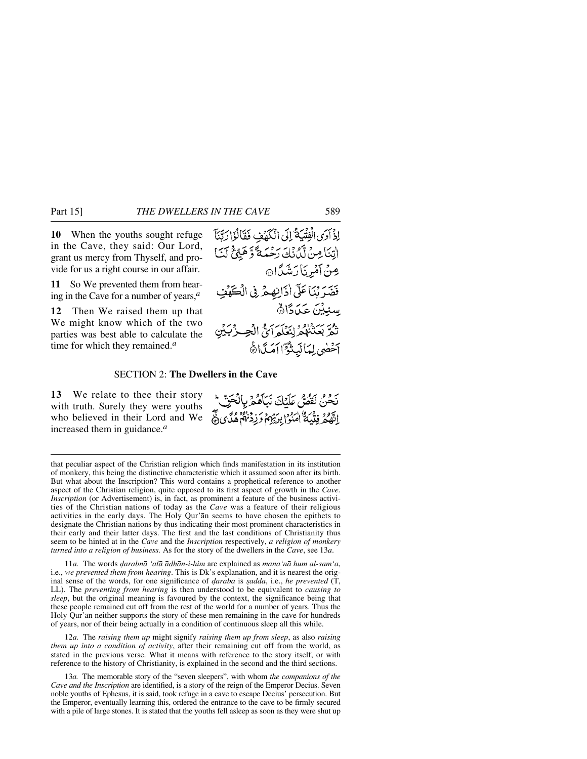**10** When the youths sought refuge in the Cave, they said: Our Lord, grant us mercy from Thyself, and provide for us a right course in our affair.

**11** So We prevented them from hearing in the Cave for a number of years,*<sup>a</sup>*

**12** Then We raised them up that We might know which of the two parties was best able to calculate the time for which they remained.*<sup>a</sup>*



#### SECTION 2: **The Dwellers in the Cave**

**13** We relate to thee their story with truth. Surely they were youths who believed in their Lord and We increased them in guidance.*<sup>a</sup>*

بَحْنُ نَقْصٌ عَلَيْكَ نَبَأَهُمْ بِالْحَقِّ الَّهُمُ فِتْيَةٌ الْمَنُوْا بِرَيِّهِمْ وَزِدْنَاهُمْ هُنَّى فَيْ

that peculiar aspect of the Christian religion which finds manifestation in its institution of monkery, this being the distinctive characteristic which it assumed soon after its birth. But what about the Inscription? This word contains a prophetical reference to another aspect of the Christian religion, quite opposed to its first aspect of growth in the *Cave. Inscription* (or Advertisement) is, in fact, as prominent a feature of the business activities of the Christian nations of today as the *Cave* was a feature of their religious activities in the early days. The Holy Qur'ån seems to have chosen the epithets to designate the Christian nations by thus indicating their most prominent characteristics in their early and their latter days. The first and the last conditions of Christianity thus seem to be hinted at in the *Cave* and the *Inscription* respectively, *a religion of monkery turned into a religion of business.* As for the story of the dwellers in the *Cave*, see 13*a*.

11*a.* The words *˙arabnå 'alå ådhån-i-him* are explained as *mana'nå hum al-sam'a*, i.e., *we prevented them from hearing*. This is Dk's explanation, and it is nearest the original sense of the words, for one significance of *daraba* is *sadda*, i.e., *he prevented* (T, LL). The *preventing from hearing* is then understood to be equivalent to *causing to sleep*, but the original meaning is favoured by the context, the significance being that these people remained cut off from the rest of the world for a number of years. Thus the Holy Qur'ån neither supports the story of these men remaining in the cave for hundreds of years, nor of their being actually in a condition of continuous sleep all this while.

12*a.* The *raising them up* might signify *raising them up from sleep*, as also *raising them up into a condition of activity*, after their remaining cut off from the world, as stated in the previous verse. What it means with reference to the story itself, or with reference to the history of Christianity, is explained in the second and the third sections.

13*a.* The memorable story of the "seven sleepers", with whom *the companions of the Cave and the Inscription* are identified, is a story of the reign of the Emperor Decius. Seven noble youths of Ephesus, it is said, took refuge in a cave to escape Decius' persecution. But the Emperor, eventually learning this, ordered the entrance to the cave to be firmly secured with a pile of large stones. It is stated that the youths fell asleep as soon as they were shut up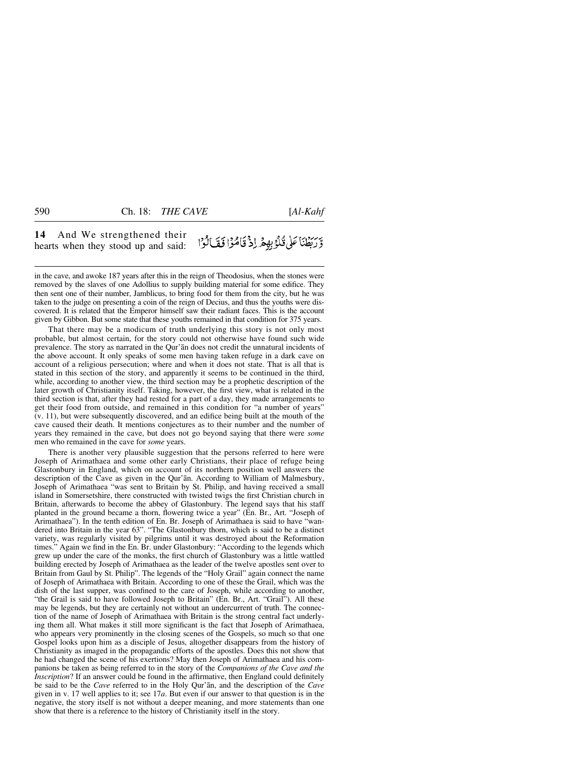#### **14** And We strengthened their وَّرَبِّطْنَا عَلَى قُلْوُبِهِمْ اِذْ قَامُوْا فَقَالُوْا hearts when they stood up and said:

in the cave, and awoke 187 years after this in the reign of Theodosius, when the stones were removed by the slaves of one Adollius to supply building material for some edifice. They then sent one of their number, Jamblicus, to bring food for them from the city, but he was taken to the judge on presenting a coin of the reign of Decius, and thus the youths were discovered. It is related that the Emperor himself saw their radiant faces. This is the account given by Gibbon. But some state that these youths remained in that condition for 375 years.

That there may be a modicum of truth underlying this story is not only most probable, but almost certain, for the story could not otherwise have found such wide prevalence. The story as narrated in the Qur'ån does not credit the unnatural incidents of the above account. It only speaks of some men having taken refuge in a dark cave on account of a religious persecution; where and when it does not state. That is all that is stated in this section of the story, and apparently it seems to be continued in the third, while, according to another view, the third section may be a prophetic description of the later growth of Christianity itself. Taking, however, the first view, what is related in the third section is that, after they had rested for a part of a day, they made arrangements to get their food from outside, and remained in this condition for "a number of years" (v. 11), but were subsequently discovered, and an edifice being built at the mouth of the cave caused their death. It mentions conjectures as to their number and the number of years they remained in the cave, but does not go beyond saying that there were *some* men who remained in the cave for *some* years.

There is another very plausible suggestion that the persons referred to here were Joseph of Arimathaea and some other early Christians, their place of refuge being Glastonbury in England, which on account of its northern position well answers the description of the Cave as given in the Qur'ån. According to William of Malmesbury, Joseph of Arimathaea "was sent to Britain by St. Philip, and having received a small island in Somersetshire, there constructed with twisted twigs the first Christian church in Britain, afterwards to become the abbey of Glastonbury. The legend says that his staff planted in the ground became a thorn, flowering twice a year" (En. Br., Art. "Joseph of Arimathaea"). In the tenth edition of En. Br. Joseph of Arimathaea is said to have "wandered into Britain in the year 63". "The Glastonbury thorn, which is said to be a distinct variety, was regularly visited by pilgrims until it was destroyed about the Reformation times." Again we find in the En. Br. under Glastonbury: "According to the legends which grew up under the care of the monks, the first church of Glastonbury was a little wattled building erected by Joseph of Arimathaea as the leader of the twelve apostles sent over to Britain from Gaul by St. Philip". The legends of the "Holy Grail" again connect the name of Joseph of Arimathaea with Britain. According to one of these the Grail, which was the dish of the last supper, was confined to the care of Joseph, while according to another, "the Grail is said to have followed Joseph to Britain" (En. Br., Art. "Grail"). All these may be legends, but they are certainly not without an undercurrent of truth. The connection of the name of Joseph of Arimathaea with Britain is the strong central fact underlying them all. What makes it still more significant is the fact that Joseph of Arimathaea, who appears very prominently in the closing scenes of the Gospels, so much so that one Gospel looks upon him as a disciple of Jesus, altogether disappears from the history of Christianity as imaged in the propagandic efforts of the apostles. Does this not show that he had changed the scene of his exertions? May then Joseph of Arimathaea and his companions be taken as being referred to in the story of the *Companions of the Cave and the Inscription*? If an answer could be found in the affirmative, then England could definitely be said to be the *Cave* referred to in the Holy Qur'ån, and the description of the *Cave* given in v. 17 well applies to it; see 17*a*. But even if our answer to that question is in the negative, the story itself is not without a deeper meaning, and more statements than one show that there is a reference to the history of Christianity itself in the story.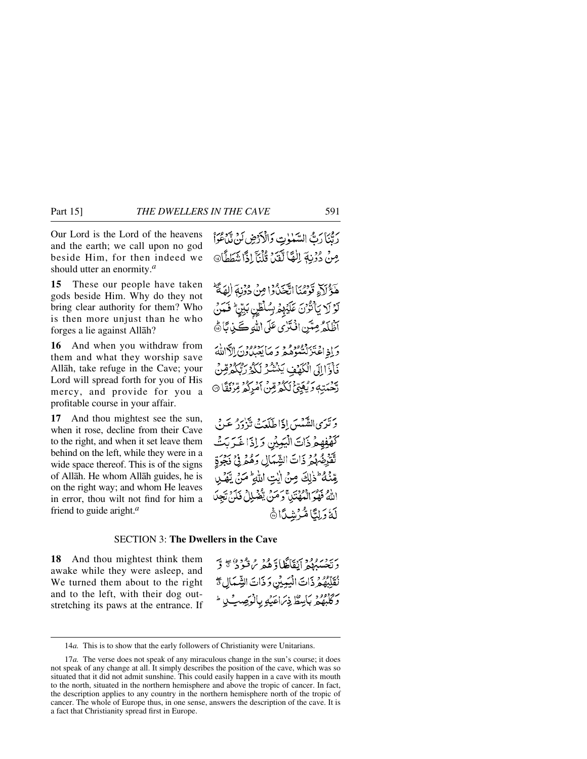Our Lord is the Lord of the heavens and the earth; we call upon no god beside Him, for then indeed we should utter an enormity.*<sup>a</sup>*

**15** These our people have taken gods beside Him. Why do they not bring clear authority for them? Who is then more unjust than he who forges a lie against Allåh?

**16** And when you withdraw from them and what they worship save Allåh, take refuge in the Cave; your Lord will spread forth for you of His mercy, and provide for you a profitable course in your affair.

**17** And thou mightest see the sun, when it rose, decline from their Cave to the right, and when it set leave them behind on the left, while they were in a wide space thereof. This is of the signs of Allåh. He whom Allåh guides, he is on the right way; and whom He leaves in error, thou wilt not find for him a friend to guide aright.*<sup>a</sup>*

رِيَّنَا رَبُّ السَّنْوِتِ وَالْأَرْضِ لَنْ تَدَّمُوْاً مِنْ دُرْنِهَ اللَّهَا لَقَيْنَ قُلْنَآ إِذَا شَطَطَانَ

هَٰٓؤُلَآءٍ قَوۡمُنَا اتَّحَنُّوۡوَا مِنۡ دُوۡنِهَ الْهَمَّةُ لَوْ لَا يَأْتُوْنَ عَلَيْهِمُ بِسُلْطِنٍ بَيِّنٍ ۚ فَعَنْ آظُلَمَ مِنَّنِ اذْتَرٰى عَلَى اللهِ كَيْنِ بَارَةُ

وَإِذَاعَتْزَلْتُنُوْهُ وَ وَ مَا يَعْدُوهُ وَ الْأَالِلَّةَ فَأَوَّالِلَ الْكَهُّفِ يَنْشُرُ لَكُمُّ رَبُّكُمْ رِّبُّكُمْ رِّبَّ رَّحْمَتِهِ وَيُعَيِّئُ لَكُمْ مِّنْ أَمْرِكُمْ مِّرْنَقَا ۞

وَتَرَى الشَّمْسَ إِذَا طَلَعَتْ تَذْدَرُ عَنْ كَهْفِهِمْ ذَاتَ الْيَبِيِّنِ وَإِذَا خَرَبَتْ تْقَرِّضْهُمْ ذَاتَ الشِّمَالِ وَهُمْ فِي نَجْوَةِ مِّنْهُ ۖ ذٰلِكَ مِنْ أَيْتِ اللَّهِ ۚ مَنْ يَهَٰلِ اللَّهُ فَهُوَ الْمُهْتَدِ، وَمَنْ يَقْهَلِلْ فَلَنَّ تَجِدَ لَةُ دَلِيًّا مُّزْشِدًا ﴾

## SECTION 3: **The Dwellers in the Cave**

**18** And thou mightest think them awake while they were asleep, and We turned them about to the right and to the left, with their dog outstretching its paws at the entrance. If دىن دىرود دېپاڭلا دەر مەندە دەپچ ق نُقَلِّبِهُمْ ذَاتَ الْيَمِيْنِ وَذَاتَ الشِّمَالِ مَنْ وَكَلِّيْهُمْ بِأَيْسَطٌ ذِيَرَاعَيْهِ بِٱلْوَصِبِّ لِا ۖ

<sup>14</sup>*a.* This is to show that the early followers of Christianity were Unitarians.

<sup>17</sup>*a.* The verse does not speak of any miraculous change in the sun's course; it does not speak of any change at all. It simply describes the position of the cave, which was so situated that it did not admit sunshine. This could easily happen in a cave with its mouth to the north, situated in the northern hemisphere and above the tropic of cancer. In fact, the description applies to any country in the northern hemisphere north of the tropic of cancer. The whole of Europe thus, in one sense, answers the description of the cave. It is a fact that Christianity spread first in Europe.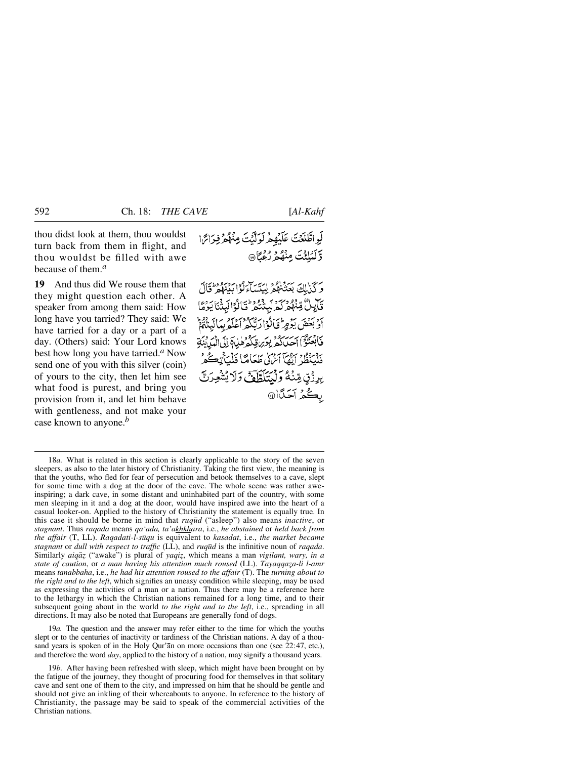thou didst look at them, thou wouldst turn back from them in flight, and thou wouldst be filled with awe because of them.*<sup>a</sup>*

**19** And thus did We rouse them that they might question each other. A speaker from among them said: How long have you tarried? They said: We have tarried for a day or a part of a day. (Others) said: Your Lord knows best how long you have tarried.*<sup>a</sup>* Now send one of you with this silver (coin) of yours to the city, then let him see what food is purest, and bring you provision from it, and let him behave with gentleness, and not make your case known to anyone.*<sup>b</sup>*

وكذلك بهزداهم ليئساءكون وبرودي قَالِيلٌ مِّنْهُمْ كَمَرْ لَبِنْتُمْ تَالُوْالَبِنْنَا يَرُمَّا أَدْبَعْضَ يَؤْمِرُ فَأَلَوْا رَبَّكُمْ أَعْلَمُ بِبَالَيْتُهُمُّ فَأَبْعَنُوْٓٓٓٗٓٓٓٱ إِحِيالُهُمۡ بِعَرَىٰقِكُمۡ هٰذَابَٱ إِلَىٰٓ الْمَدۡ بِنَةَ فَلْيَنْظُرْ أَيُّمَآ آمْرُكِي طَعَامًا فَلْيَأْتِكَےُ وُ بِرِزْقٍ مِّنْهُ وَلَيْتَلَطَّافَ وَلَا يُتْمُجِدَنَّ ىڭمۇ آخى*ت*ا®

19*a.* The question and the answer may refer either to the time for which the youths slept or to the centuries of inactivity or tardiness of the Christian nations. A day of a thousand years is spoken of in the Holy Qur'ån on more occasions than one (see 22:47, etc.), and therefore the word *day*, applied to the history of a nation, may signify a thousand years.

<sup>18</sup>*a.* What is related in this section is clearly applicable to the story of the seven sleepers, as also to the later history of Christianity. Taking the first view, the meaning is that the youths, who fled for fear of persecution and betook themselves to a cave, slept for some time with a dog at the door of the cave. The whole scene was rather aweinspiring; a dark cave, in some distant and uninhabited part of the country, with some men sleeping in it and a dog at the door, would have inspired awe into the heart of a casual looker-on. Applied to the history of Christianity the statement is equally true. In this case it should be borne in mind that *ruq∂d* ("asleep") also means *inactive*, or *stagnant*. Thus *raqada* means *qa'ada, ta'akhkhara*, i.e., *he abstained* or *held back from the affair* (T, LL). *Raqadati-l-s∂qu* is equivalent to *kasadat*, i.e., *the market became stagnant* or *dull with respect to traffic* (LL), and *ruq∂d* is the infinitive noun of *raqada*. Similarly *aiqāz* ("awake") is plural of *yaqiz*, which means a man *vigilant*, wary, in a state of caution, or a man having his attention much roused (LL). *Tayaqqaza-li l-amr* means *tanabbaha*, i.e., *he had his attention roused to the affair* (T). The *turning about to the right and to the left*, which signifies an uneasy condition while sleeping, may be used as expressing the activities of a man or a nation. Thus there may be a reference here to the lethargy in which the Christian nations remained for a long time, and to their subsequent going about in the world *to the right and to the left*, i.e., spreading in all directions. It may also be noted that Europeans are generally fond of dogs.

<sup>19</sup>*b.* After having been refreshed with sleep, which might have been brought on by the fatigue of the journey, they thought of procuring food for themselves in that solitary cave and sent one of them to the city, and impressed on him that he should be gentle and should not give an inkling of their whereabouts to anyone. In reference to the history of Christianity, the passage may be said to speak of the commercial activities of the Christian nations.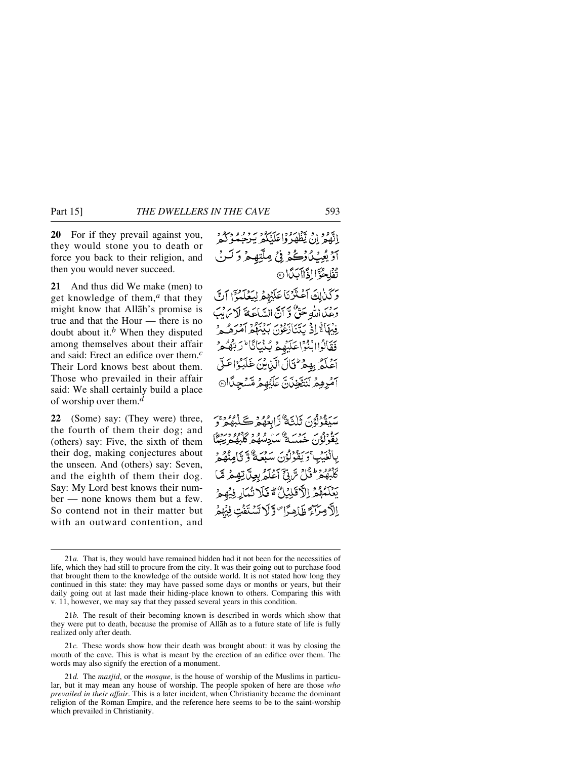**20** For if they prevail against you, they would stone you to death or force you back to their religion, and then you would never succeed.

**21** And thus did We make (men) to get knowledge of them,*<sup>a</sup>* that they might know that Allåh's promise is true and that the Hour — there is no doubt about it.*<sup>b</sup>* When they disputed among themselves about their affair and said: Erect an edifice over them.*<sup>c</sup>* Their Lord knows best about them. Those who prevailed in their affair said: We shall certainly build a place of worship over them.*<sup>d</sup>*

**22** (Some) say: (They were) three, the fourth of them their dog; and (others) say: Five, the sixth of them their dog, making conjectures about the unseen. And (others) say: Seven, and the eighth of them their dog. Say: My Lord best knows their number — none knows them but a few. So contend not in their matter but with an outward contention, and

إِنَّهُمْ إِنْ يَظْهَدُوا عَلَيْكُمْ يُبْرِحِيْكُو كُلُّهِ آؤيڤِٽنُ{ڪُمۡ فِيۡ مِلَّتِهِ مِرۡ دَ لَـ تُفْلِحُوَّا إِذَاآبَكَانَ ركذالِكَ أَعْتَزْنَا عَلَيْهِمْ لِيَعْلَمُوْٓ إِنَّ دَعْمَالِلَّهُ حَقٌّ وَّ أَنَّ السَّاعَةَ لَا يَرَبُّ فِيْهَا تَوَادْ يَتَنَابَعُونَ بِيَبْهُكُمْ أَهْرَهُ بِي فَقَالُواابْنُوْاعَلَيْهِمْ بُنْيَانَا ۚ وَبَّهُ آغلَهُ بِهِمْرٌ ثَالَ الَّذِينَ غَلَبُوُاعَهُ *أَمْرِهِمْ* لَنَتَّخِذَنَّ عَلَيْهِمْ مِّسْجِدًّا®

سَيَقْوَلُوْنَ ثَلْثَةٌ رَّابِعُهُمْ كَلَبِهُمْ رَّ سودوس سومبر 20 سادھ میں 1999ء دین<br>یقولون خیسیۂ سادھگھ کلیفہ دھیا بِالْغَيْبِ ۚ رَبِّقُوْلُوۡنَ سَبْعَةٌ وَ نَامِنُهُمۡ ۚ كَلّْبُهُمْ تَثْلُ سَّ بِّيٍّ آَعُلَّهُ بِعِيلَ تِهِمْ مَّا يَعْلَمُهُمْ الْأَقَلِيْلُ ۚ قَلَا تُمَارِ فِيُهِ الْأَمِيزَآءَ ظَاهِدًا ۖ وَلَا تَسْتَفَت فِيُهِمْ

<sup>21</sup>*a.* That is, they would have remained hidden had it not been for the necessities of life, which they had still to procure from the city. It was their going out to purchase food that brought them to the knowledge of the outside world. It is not stated how long they continued in this state: they may have passed some days or months or years, but their daily going out at last made their hiding-place known to others. Comparing this with v. 11, however, we may say that they passed several years in this condition.

<sup>21</sup>*b.* The result of their becoming known is described in words which show that they were put to death, because the promise of Allåh as to a future state of life is fully realized only after death.

<sup>21</sup>*c.* These words show how their death was brought about: it was by closing the mouth of the cave. This is what is meant by the erection of an edifice over them. The words may also signify the erection of a monument.

<sup>21</sup>*d.* The *masjid*, or the *mosque*, is the house of worship of the Muslims in particular, but it may mean any house of worship. The people spoken of here are those *who prevailed in their affair*. This is a later incident, when Christianity became the dominant religion of the Roman Empire, and the reference here seems to be to the saint-worship which prevailed in Christianity.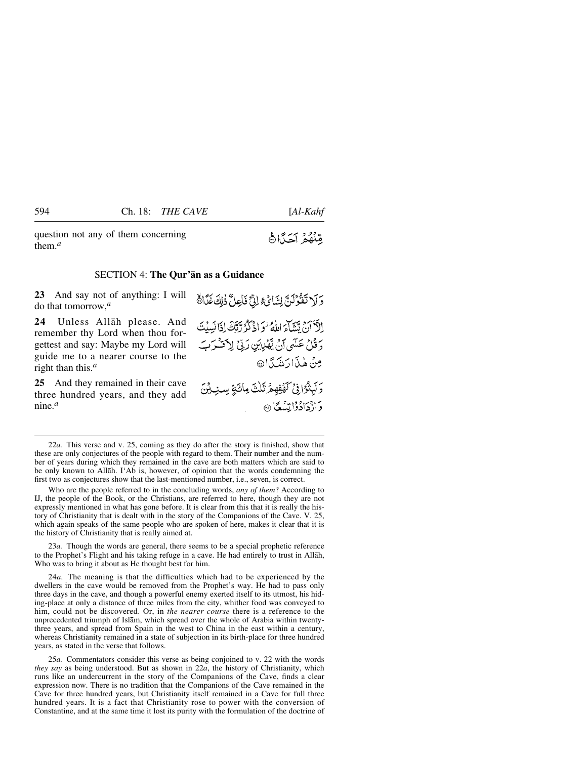question not any of them concerning them.*<sup>a</sup>*

#### SECTION 4: **The Qur'ån as a Guidance**

**23** And say not of anything: I will do that tomorrow,*<sup>a</sup>*

**24** Unless Allåh please. And remember thy Lord when thou forgettest and say: Maybe my Lord will guide me to a nearer course to the right than this.*<sup>a</sup>*

**25** And they remained in their cave three hundred years, and they add nine.*<sup>a</sup>*

22*a.* This verse and v. 25, coming as they do after the story is finished, show that these are only conjectures of the people with regard to them. Their number and the number of years during which they remained in the cave are both matters which are said to be only known to Allåh. I'Ab is, however, of opinion that the words condemning the first two as conjectures show that the last-mentioned number, i.e., seven, is correct.

Who are the people referred to in the concluding words, *any of them*? According to IJ, the people of the Book, or the Christians, are referred to here, though they are not expressly mentioned in what has gone before. It is clear from this that it is really the history of Christianity that is dealt with in the story of the Companions of the Cave. V. 25, which again speaks of the same people who are spoken of here, makes it clear that it is the history of Christianity that is really aimed at.

23*a.* Though the words are general, there seems to be a special prophetic reference to the Prophet's Flight and his taking refuge in a cave. He had entirely to trust in Allåh, Who was to bring it about as He thought best for him.

24*a.* The meaning is that the difficulties which had to be experienced by the dwellers in the cave would be removed from the Prophet's way. He had to pass only three days in the cave, and though a powerful enemy exerted itself to its utmost, his hiding-place at only a distance of three miles from the city, whither food was conveyed to him, could not be discovered. Or, in *the nearer course* there is a reference to the unprecedented triumph of Islåm, which spread over the whole of Arabia within twentythree years, and spread from Spain in the west to China in the east within a century, whereas Christianity remained in a state of subjection in its birth-place for three hundred years, as stated in the verse that follows.

25*a.* Commentators consider this verse as being conjoined to v. 22 with the words *they say* as being understood. But as shown in 22*a*, the history of Christianity, which runs like an undercurrent in the story of the Companions of the Cave, finds a clear expression now. There is no tradition that the Companions of the Cave remained in the Cave for three hundred years, but Christianity itself remained in a Cave for full three hundred years. It is a fact that Christianity rose to power with the conversion of Constantine, and at the same time it lost its purity with the formulation of the doctrine of

مُنْهُمُ آجَدًّاهُ

مِنْ هٰذَارَ مِنْنَدَ ا@

وَأَذْدَادُوْاتِسُعًا۞

وَلَا تَقُوْلَنَّ لِشَائِءٍ لِنَّ فَأَعِلُّ ذَٰلِكَ غَدًّاهُ

إِلَّآ أَنَّ يَتَنَاءَ اللَّهُ وَ اذْكُرُ رَّبَّكَ إِذَا نَسِيْتَ دَ قُلْ عَسَى أَنْ يَّهْدِينِ رَبِّيٍّ لِأَقْسُرَبِّ

وَلَيِثْوُافِيُ كَهُفِهِمْ ثَلْتَ مِائَةٍ سِنِ لِنَ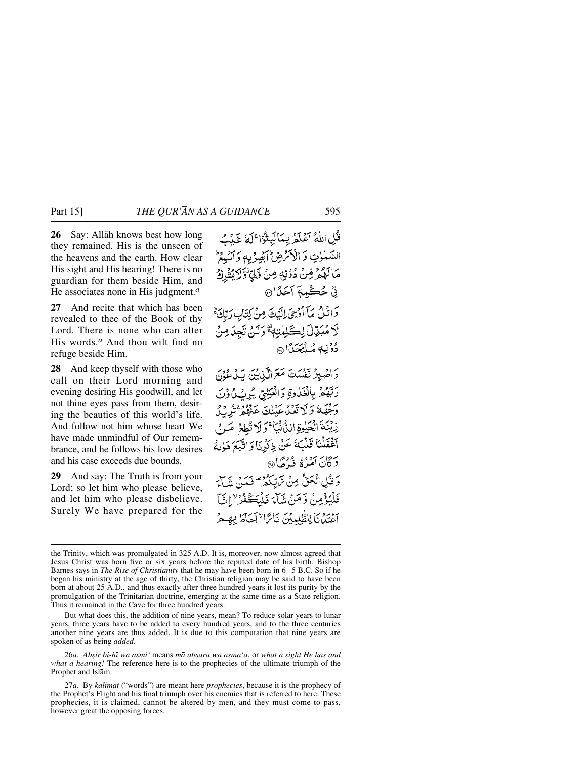**26** Say: Allåh knows best how long they remained. His is the unseen of the heavens and the earth. How clear His sight and His hearing! There is no guardian for them beside Him, and He associates none in His judgment.*<sup>a</sup>*

**27** And recite that which has been revealed to thee of the Book of thy Lord. There is none who can alter His words.*<sup>a</sup>* And thou wilt find no refuge beside Him.

**28** And keep thyself with those who call on their Lord morning and evening desiring His goodwill, and let not thine eyes pass from them, desiring the beauties of this world's life. And follow not him whose heart We have made unmindful of Our remembrance, and he follows his low desires and his case exceeds due bounds.

**29** And say: The Truth is from your Lord; so let him who please believe, and let him who please disbelieve. Surely We have prepared for the

قُلِ اللَّهُ أَعْلَمُ بِمَالَيْتُوْا ۚ لَهُ عَدۡكَ السَّنْزِتِ وَ الْأَكْرَضِ الصَّوْيِهِ وَ اَسْبِعْ مَالَهُمْ مِّنَّ دُوْنِهٖ مِنْ وَّلِيِّ ٰ وَّلَابُنْزِكُ نِيٌ حُڪِمةِ آحَدًا۞ وَاتُلُ مَآ أُوْرِىَ لِلَّيۡكَ مِنْ لِتَابِ رَبِّكَ \* لَا مُبَيِّلَ لِكَلِمْتِهِ ۚ وَلَنْ تَجِدَمِنْ دُوْنِهِ مُلْتَحَدًّا وَ اصْلِرْ نَفْسَكَ مَعَ الَّذِيْنَ يَدْعُوْنَ رَبَّهُمُ بِالْغَارَةِ وَالْعَيْنِيِّ يُرِيْ لُونَ یزور کا تعالیم داد کرده دی ده<br>وجههٔ وَلا تعبا عَبْنِگَ عَنْهُمْ تَرْبُّلُ زِيْنَةَ الْكَيْوَةِ الدُّنْيَا ۚ وَلَا تُطِعَ مَـٰ فِى أَغْفَلْنَا قَلْبَهُ عَنْ ذِكْرِنَا وَاتَّبَعَ هَوٰلُهُ دَ كَانَ آمْدُهُ فَيُرْطًا۞ ر قُلِي الْحَقُّ مِنْ مَّ تِبْكُمْ تَصَنْ مَدْنَ مِنْهَا َ فَلْمُؤْمِنْ وَّمَنْ نَبَآءَ فَلْمَكَّفَرُ لِا أَيَّ حِيْنِهِ بِٱللْطَّلِيِينِ بِٱلرَّا ۚ إِجَاطَ بِهِيمُ

But what does this, the addition of nine years, mean? To reduce solar years to lunar years, three years have to be added to every hundred years, and to the three centuries another nine years are thus added. It is due to this computation that nine years are spoken of as being *added*.

26*a. Ab©ir bi-hß wa asmi'* means *må ab©ara wa asma'a*, or *what a sight He has and what a hearing!* The reference here is to the prophecies of the ultimate triumph of the Prophet and Islåm.

27*a.* By *kalimåt* ("words") are meant here *prophecies*, because it is the prophecy of the Prophet's Flight and his final triumph over his enemies that is referred to here. These prophecies, it is claimed, cannot be altered by men, and they must come to pass, however great the opposing forces.

the Trinity, which was promulgated in 325 A.D. It is, moreover, now almost agreed that Jesus Christ was born five or six years before the reputed date of his birth. Bishop Barnes says in *The Rise of Christianity* that he may have been born in 6–5 B.C. So if he began his ministry at the age of thirty, the Christian religion may be said to have been born at about 25 A.D., and thus exactly after three hundred years it lost its purity by the promulgation of the Trinitarian doctrine, emerging at the same time as a State religion. Thus it remained in the Cave for three hundred years.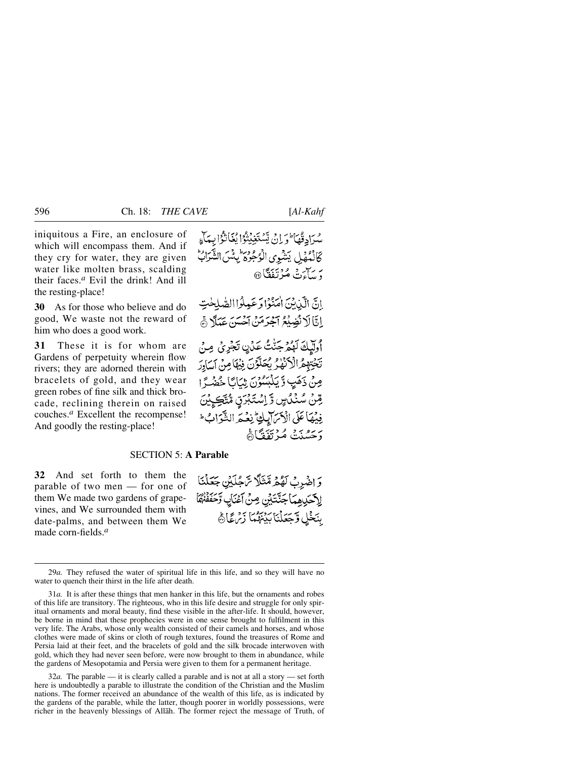iniquitous a Fire, an enclosure of which will encompass them. And if they cry for water, they are given water like molten brass, scalding their faces.*<sup>a</sup>* Evil the drink! And ill the resting-place!

**30** As for those who believe and do good, We waste not the reward of him who does a good work.

**31** These it is for whom are Gardens of perpetuity wherein flow rivers; they are adorned therein with bracelets of gold, and they wear green robes of fine silk and thick brocade, reclining therein on raised couches.*<sup>a</sup>* Excellent the recompense! And goodly the resting-place!

إِنَّ الَّذِينَ اٰمَنُوۡا وَعَبِلُوۡاالصَّٰلِحٰتِ إِنَّا لَا نُضِيْعُ آَجْرَمَنْ آَحْسَنَ عَمَلًا هَي

أُولِيكَ لَهُمْ جَنّْتُ عَدُنٍ تَجْرِيُ مِنْ تَخْتِهِمُ الْأَكْفَٰرُ بِكُلُّوْنَ فِيهَا مِنْ آسَادِرَ مِنْ ذَهَبِ وَّ يَكْبُسُوْنَ ثِبَابًا خُضْرًا رقنْ سُنْدُسٍ وَ اِسْتَبْرَقِ مُتَّكِئِنَ فِيْهَا عَلَى الْأَمَرَ إِبِلِيَّ نِعْيَمَ الشَّوَابُ طَ رَحَسْنَتْ مُرْتَفَقَّاَةَ

# SECTION 5: **A Parable**

**32** And set forth to them the parable of two men — for one of them We made two gardens of grapevines, and We surrounded them with date-palms, and between them We made corn-fields.*<sup>a</sup>*

وَ اضْرِبْ لَهُمْ مِّنَلًّا سَّجُلَيْنِ جَعَلْنَا الآحَدِهِمَا جَنَّتَيْنِ مِنْ آَعْنَابِ وَّحَفَفْنُهَا بِنَخْلِ وَّجَعَلْنَا بَيْنَهُمَا زَيْرَ عَالَجْ

32*a.* The parable — it is clearly called a parable and is not at all a story — set forth here is undoubtedly a parable to illustrate the condition of the Christian and the Muslim nations. The former received an abundance of the wealth of this life, as is indicated by the gardens of the parable, while the latter, though poorer in worldly possessions, were richer in the heavenly blessings of Allåh. The former reject the message of Truth, of

<sup>29</sup>*a.* They refused the water of spiritual life in this life, and so they will have no water to quench their thirst in the life after death.

<sup>31</sup>*a.* It is after these things that men hanker in this life, but the ornaments and robes of this life are transitory. The righteous, who in this life desire and struggle for only spiritual ornaments and moral beauty, find these visible in the after-life. It should, however, be borne in mind that these prophecies were in one sense brought to fulfilment in this very life. The Arabs, whose only wealth consisted of their camels and horses, and whose clothes were made of skins or cloth of rough textures, found the treasures of Rome and Persia laid at their feet, and the bracelets of gold and the silk brocade interwoven with gold, which they had never seen before, were now brought to them in abundance, while the gardens of Mesopotamia and Persia were given to them for a permanent heritage.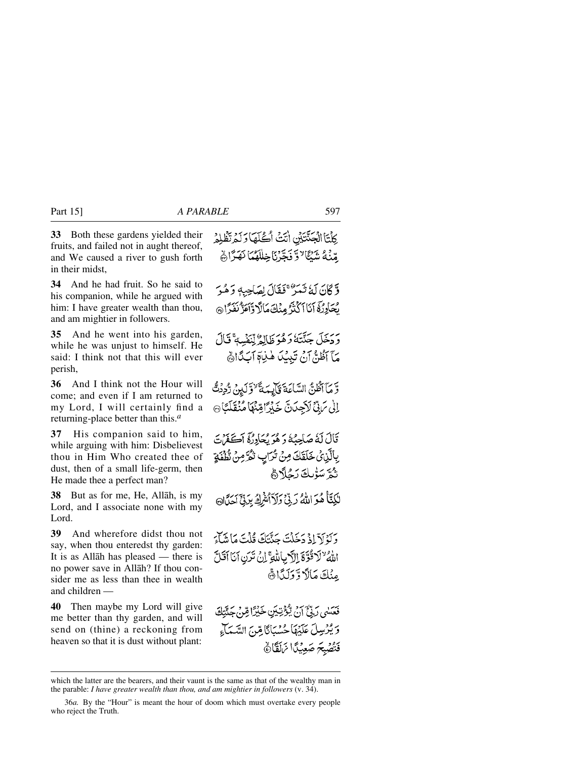**33** Both these gardens yielded their fruits, and failed not in aught thereof, and We caused a river to gush forth in their midst,

**34** And he had fruit. So he said to his companion, while he argued with him: I have greater wealth than thou, and am mightier in followers.

**35** And he went into his garden, while he was unjust to himself. He said: I think not that this will ever perish,

**36** And I think not the Hour will come; and even if I am returned to my Lord, I will certainly find a returning-place better than this.*<sup>a</sup>*

**37** His companion said to him, while arguing with him: Disbelievest thou in Him Who created thee of dust, then of a small life-germ, then He made thee a perfect man?

**38** But as for me, He, Allåh, is my Lord, and I associate none with my Lord.

**39** And wherefore didst thou not say, when thou enteredst thy garden: It is as Allåh has pleased — there is no power save in Allåh? If thou consider me as less than thee in wealth and children —

**40** Then maybe my Lord will give me better than thy garden, and will send on (thine) a reckoning from heaven so that it is dust without plant: كِلْتَا الْجَنّْتَيْنِ اٰتَتْ اُكْلَهَا وَلَمْ تَظْلِمُ مِّنْهُ شَنْكَا ٌ وَ فَجَّرْنَا خِلْلَهُمَا نَهَزَاهُمْ

وَّكَانَ لَهُ تَمَرُّ ۚ فَقَالَ لِصَاحِبِهٖ وَهُوَ يْحَادِرُ فَإِنَّا ٱكْتُرُّ مِنْكَ مَالَا وَٱعَزَّ نَفَدَّا ۞

رَدَخَلَ جَنَّتَهُ رَهُوَ ظَالِمٌ لِّنَفُسِهِ ۚ قَالَ مَآ أَظُنُّ أَنْ تَبِيبُ هٰذِآ ٱبَدَّاهُ

وَّ مَآ أَظُنَّ السَّاعَةَ فَأَلِيمَةَ "وَّلَيْنَ رُّدِدُتُّ إِلَىٰ تَرَبِّنَ لَاَجِدَنَّ خَيْرًامِّنَهَا مُنْقَلَّكَانَ

قَالَ لَهُ صَاحِبُهُ وَ هُوَ يُحَادِرُهِ أَكَفَرُتَ بِالَّزِيْ خَلَقَكَ مِنْ تُرَابٍ تُكَرَّمِنْ ثَلُفَةٍ ثُمَّ سَوْلِكَ رَجُلًا هُمْ

لَكِنَّأُ هُوَ اللَّهُ رَبِّيٌ وَلَاَ الشَّرِكَ بِرَبِّيٍّ اَحَدًّانَ

وَلَوْلَآ إِذۡ دَخَلَتَ حَنَّتَكَ قُلۡتَ مَاٰ شَآءَ اللَّهُ "لَاقُوَّةَ اِلَّ بِاللَّهِ ۚ إِنْ تَرَنِ أَنَا أَقَلَّ مِنْكَ مَالًا وَّكَلَّا ٢

فَعَسْى رَبِّيٌّ آنَ يُؤْتِيَنِ خَيْرًا قِنْ جَيَّتَكَ وَيُرْسِلَ عَلَيْهَا حُسْبَانًا مِّنَ السَّمَاءِ فَتُصْبِحَ صَعِيْدًا نَرَلَقَانَ

which the latter are the bearers, and their vaunt is the same as that of the wealthy man in the parable: *I have greater wealth than thou, and am mightier in followers* (v. 34).

<sup>36</sup>*a.* By the "Hour" is meant the hour of doom which must overtake every people who reject the Truth.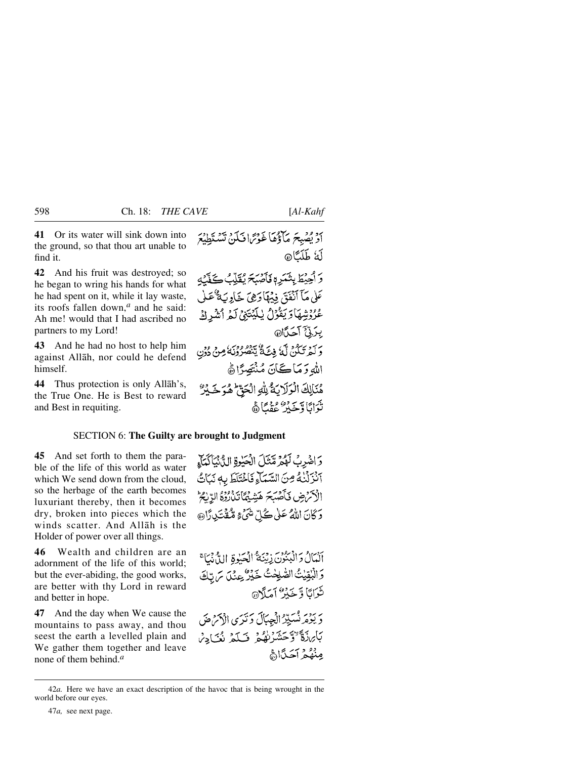**41** Or its water will sink down into the ground, so that thou art unable to find it.

**42** And his fruit was destroyed; so he began to wring his hands for what he had spent on it, while it lay waste, its roofs fallen down,*<sup>a</sup>* and he said: Ah me! would that I had ascribed no partners to my Lord!

**43** And he had no host to help him against Allåh, nor could he defend himself.

**44** Thus protection is only Allåh's, the True One. He is Best to reward and Best in requiting.

أَدْ يُصِبِحَ مَأْذُهَا غَوْتَرَافَكُنْ تَسْتَطِيْعَ لَمُ طَلَّكَا@ دَ أَحِيطَ بِنَعَرِمٍ فَأَصْبَحَ يُقَلِّبُ كَفَّنْهِ عَلَىٰ مَآ ٱنْفَقَ فِيۡهَآ رَهِيَ خَاوِيَةٌ عَـٰلِ عُرُوْشِهَاوَيَقُوْلُ يٰلِيَتِيْنِ لَمُ أَشْرِكَ بيدَ فِيَّ آَهَدَّاْ @ رسم بيدود من الله فِيتَ عَمَّا يَتَصُرُونَهُ مِنْ دُوْنِ اللهِ وَمَاكَانَ مُنْتَصِرًاهُ هُنَالِكَ الْوَلَابَةُ لِلَّهِ الْحَقِّ هُوَ خَيْرٌ تَوَايَاً وَتَحَدِّرُ عَقْبَاًهُم

### SECTION 6: **The Guilty are brought to Judgment**

**45** And set forth to them the parable of the life of this world as water which We send down from the cloud, so the herbage of the earth becomes luxuriant thereby, then it becomes dry, broken into pieces which the winds scatter. And Allåh is the Holder of power over all things.

**46** Wealth and children are an adornment of the life of this world; but the ever-abiding, the good works, are better with thy Lord in reward and better in hope.

**47** And the day when We cause the mountains to pass away, and thou seest the earth a levelled plain and We gather them together and leave none of them behind.*<sup>a</sup>*

وَاضْرِبْ لَهُمْ مَّنْنَلَ الْحَبْوةِ الدُّنْنَاكَيَاءِ انزلْنُهُ مِنَ السَّمَاءِ فَاخْتَلَطَ بِهِ نَبَاتُ الْأَكْرَضِ فَأَصْبَحَ هَشِيْمًا تَذَرُّدُهُ الرَّلْجُ دَ كَانَ اللَّهُ عَلَىٰ كُلِّ شَيْءٍ مُّقْتَبِدِ ذَاهِ،

أَنْمَالُ دَانْبُنُوْنَ زِيْنَهُ ۚ الْحَيْوَةِ اللَّهُ نَبَاَّ وَالْبُقِيْتُ الصَّلِحْتُ خَيْرٌ عِنَلَ مَ تِكَ تَوَايَا وَّجَدُنَ أَمَدَّ\هِ، ر برديد مسيّدُ الْجِبَالَ دَ تَدَى الْأَمْرُ صَ بَابِرْدَةٌ ﴿ وَحَشَرْنَهُمْ ۖ فَسَلَّمْ نُعَيَادِينَ مِنْهُمْ آجَدًاا

<sup>42</sup>*a.* Here we have an exact description of the havoc that is being wrought in the world before our eyes.

<sup>47</sup>*a,* see next page.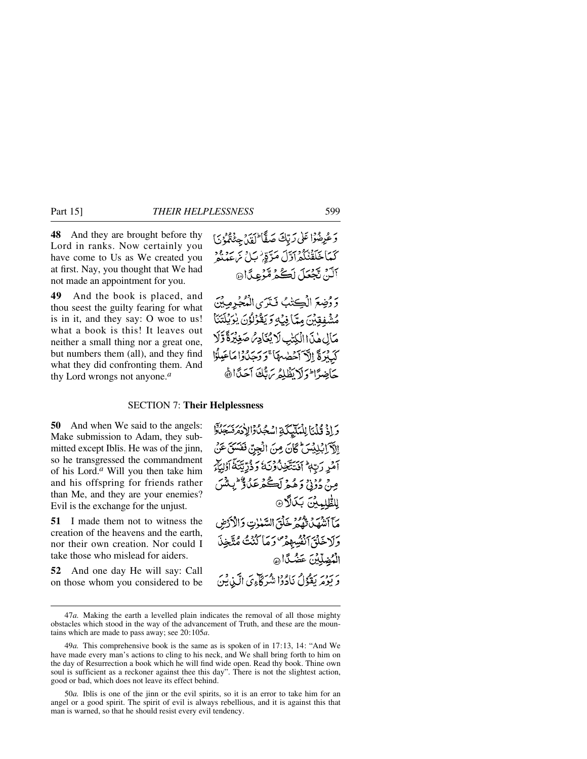**48** And they are brought before thy Lord in ranks. Now certainly you have come to Us as We created you at first. Nay, you thought that We had not made an appointment for you.

**49** And the book is placed, and thou seest the guilty fearing for what is in it, and they say: O woe to us! what a book is this! It leaves out neither a small thing nor a great one, but numbers them (all), and they find what they did confronting them. And thy Lord wrongs not anyone.*<sup>a</sup>*

وَعُرِضُوْا عَلَىٰ رَبِّكَ صَفًّا ۖ لَقَدْ جِئْتُمْ ۚ يَاْ كَمَا خَلَقْنَكُمْ أَوَّلَ مَرَّقِ ٰ بَلْ يَرْ عَدْ يُوْمِ آلَنْ تَجْعَلَ لَڪُمْ مُّؤْعِدًا۞

وَ دُضِعَ الْڪِتْبُ فَتَرَى الْمُجْرِمِيْنَ مُشْفِقِبْنَ مِيّا فِيِّهِ وَيَقْوَلُوْنَ يُوَيِّلْتَنَا مَالِ هٰذَا الْكِتْبِ لَا يُعَادِّهُ صَغِيْرَةً وَّلَا كَبِيْرَةَ اِلَّ آَخْضُهَا ۚ وَوَجَلَ وَا مَاعَيْلُوْا حَاضِرًا وَلَا يَظْلِمُ مَ بَّكَ آَحَدًا أَنَّ

# SECTION 7: **Their Helplessness**

**50** And when We said to the angels: Make submission to Adam, they submitted except Iblis. He was of the jinn, so he transgressed the commandment of his Lord.*<sup>a</sup>* Will you then take him and his offspring for friends rather than Me, and they are your enemies? Evil is the exchange for the unjust.

**51** I made them not to witness the creation of the heavens and the earth, nor their own creation. Nor could I take those who mislead for aiders.

**52** And one day He will say: Call on those whom you considered to be وَإِذْ قُلْنَا لِلْمَلَيْكَةِ اسْجُلُ وَالِأَدْمَرَ سَجَلَةً إِلَّآ إِبْلِيْسَ ۚ كَانَ مِنَ الْجِنِّ فَفَسَقَ عَنْ آمُرِ رَبِّهٖ ۚ أَنۡتَتَّخِنُّونَ ۚ وَذُرِّيَّتَهُ ۚ أَوۡلِيِّكَ مِنْ دُونِي دَ هُمْ لَڪُهُ عَبْيٌ وَ الْمِيثَينَ للطُّلمِينَ بَكَلَّا مَآ أَتَنْهَىٰٓنُ تُهُمُّ خَلْقَ السَّنْوٰتِ وَالْأَذْرَضِ وَلَاخَلَقَ ٱنْفُسِهِمْ وَمَا كُنْتُ مُتَّخِذَ الْمُضِلِّينَ عَضْكًا @ - يوم يقۇل نادۇا شركاءى الكرينى

50*a.* Iblßs is one of the jinn or the evil spirits, so it is an error to take him for an angel or a good spirit. The spirit of evil is always rebellious, and it is against this that man is warned, so that he should resist every evil tendency.

<sup>47</sup>*a.* Making the earth a levelled plain indicates the removal of all those mighty obstacles which stood in the way of the advancement of Truth, and these are the mountains which are made to pass away; see 20:105*a*.

<sup>49</sup>*a.* This comprehensive book is the same as is spoken of in 17:13, 14: "And We have made every man's actions to cling to his neck, and We shall bring forth to him on the day of Resurrection a book which he will find wide open. Read thy book. Thine own soul is sufficient as a reckoner against thee this day". There is not the slightest action, good or bad, which does not leave its effect behind.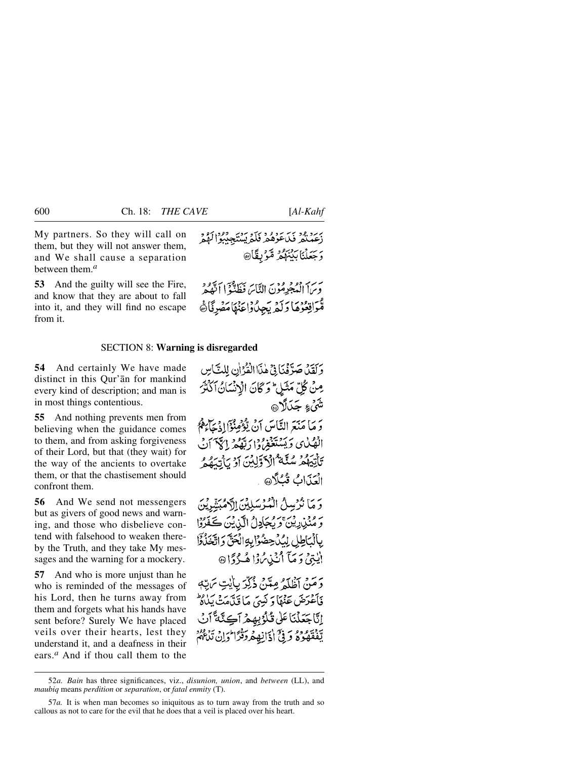My partners. So they will call on them, but they will not answer them, and We shall cause a separation between them.*<sup>a</sup>*

**53** And the guilty will see the Fire, and know that they are about to fall into it, and they will find no escape from it.

بحسن فهجية مؤنّ النّاسَ فَظَنَّوۡ النَّهُ هُمَّ مُّوَاقِعُوُهَا دَلَّهُ يَجِيدُوْاعَنِهَا مَصْرِقَاَّةً

### SECTION 8: **Warning is disregarded**

**54** And certainly We have made distinct in this Qur'ån for mankind every kind of description; and man is in most things contentious.

**55** And nothing prevents men from believing when the guidance comes to them, and from asking forgiveness of their Lord, but that (they wait) for the way of the ancients to overtake them, or that the chastisement should confront them.

**56** And We send not messengers but as givers of good news and warning, and those who disbelieve contend with falsehood to weaken thereby the Truth, and they take My messages and the warning for a mockery.

**57** And who is more unjust than he who is reminded of the messages of his Lord, then he turns away from them and forgets what his hands have sent before? Surely We have placed veils over their hearts, lest they understand it, and a deafness in their ears.*<sup>a</sup>* And if thou call them to the

وَلَقَدْ صَوَّفْنَافِيْ هٰذَا الْقُرْآنِ لِلَّكَاسِ مِنْ كُلِّ مَثَيْلٍ ۖ وَ كَانَ الْإِنْسَانُ آكَنْتَرَ شَيْءٍ جَدَلَا۞ دَ مَا مَنَعَ النَّاسَ أَنْ يُؤْمِنُواْ إِذْ يَجَاءَكُمْ الْهُبُايِ وَبَيْنَتَغَفّْرُوا دَبَّهُ فِي الْمَيْ أَنْ تَأْتِيَهُمْ سُنَّةٌ ٱلْآوَلِينَ أَوْ يَأْتِيَهُمْ العَذابُ قُبُلًا @

وَ مَا نُرْسِلُ الْمُؤْسَلِينَ الْأَهْبَشْرِيْنَ رَ مِنْزِرِيْنَ وَيُجَادِلُ الَّذِيْنَ كَفَرُوْا بِالْمَاطِلِ لِدُرْحِضُوْابِهِ الْحَقَّ وَ اتَّخَذُوْا اليتِيْ دَ مَآ اُنۡنِي مُوۡا هُ دُدَا۞

دَمَنْ آظْلَمْ مِتَنْ ذُكِّرَ بِإِيْتِ يَرَبِّهِ فَأَعْدَضَ عَنْهَا وَ نَبِيٍّ مَا قَيَّامَتْ يَلْاهِ إِنَّا جَعَلْنَا عَلَى قُلُوُبِهِمْ آكِنَّةً آنُ يَّفْقَهُوُهُ وَفِي أَذَانِهِمْ دَقْرًا أَدَانِ تَدْعُهُمْ

<sup>52</sup>*a. Bain* has three significances, viz., *disunion, union*, and *between* (LL), and *maubiq* means *perdition* or *separation*, or *fatal enmity* (T).

<sup>57</sup>*a.* It is when man becomes so iniquitous as to turn away from the truth and so callous as not to care for the evil that he does that a veil is placed over his heart.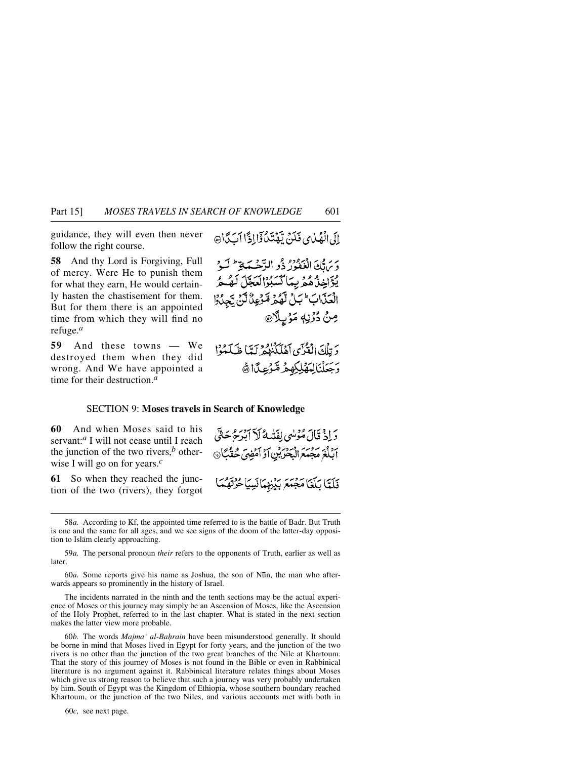guidance, they will even then never follow the right course.

**58** And thy Lord is Forgiving, Full of mercy. Were He to punish them for what they earn, He would certainly hasten the chastisement for them. But for them there is an appointed time from which they will find no refuge.*<sup>a</sup>*

**59** And these towns — We destroyed them when they did wrong. And We have appointed a time for their destruction.*<sup>a</sup>*

إِلَى الْفَيْدِي فَكَنَّ تِيْفَتَدُ ذَاإِذَا أَيَكَ أَنَّ

دَيْرَ قَالَ الْغَفَوْرُ ذُو الرَّحْسَةِ ۖ لَـدُّ يْۋَاخِذْهُ هُمْ بِبِمَاكْسَبُوْالْعَجَّلَ لَهُ هُرُ الْعَذَابَ عَبَلْ لَّهُمْ مَّرْعِدُ لَّنْ يَّجِدُوْا مِنْ دُوْنِهٖ مَوْبِلَا®

وَ تِلْكَ الْقُرْآيِ إِهْلَكَنْزُهُمْ لَيَّبَا ظَلَمْهُوْا وَجَعَلْنَالِمَهْلِكِهِمْ مَّرْعِكَانَ

# SECTION 9: **Moses travels in Search of Knowledge**

**60** And when Moses said to his servant:*<sup>a</sup>* I will not cease until I reach the junction of the two rivers, $<sup>b</sup>$  other-</sup> wise I will go on for years.*<sup>c</sup>*

**61** So when they reached the junction of the two (rivers), they forgot

دَ إِذْ قَالَ مُؤْلِبِي لِفَتْهِهُ لَا آبْدَ حُرِيحَةٌ ) ابْلُغَ مَجْمَعَ الْبَحْرَ بْنِ أَرْأَمْضِيَّ حُقْبًاْ $\odot$ 

فَلَتَّا بَلَغَا مَجْمَعَ بَيْنِهِمَانَسِيَا حُرْتَهُمَا

58*a.* According to Kf, the appointed time referred to is the battle of Badr. But Truth is one and the same for all ages, and we see signs of the doom of the latter-day opposition to Islåm clearly approaching.

59*a.* The personal pronoun *their* refers to the opponents of Truth, earlier as well as later.

60*a*. Some reports give his name as Joshua, the son of Nūn, the man who afterwards appears so prominently in the history of Israel.

The incidents narrated in the ninth and the tenth sections may be the actual experience of Moses or this journey may simply be an Ascension of Moses, like the Ascension of the Holy Prophet, referred to in the last chapter. What is stated in the next section makes the latter view more probable.

60*b*. The words *Majma' al-Bahrain* have been misunderstood generally. It should be borne in mind that Moses lived in Egypt for forty years, and the junction of the two rivers is no other than the junction of the two great branches of the Nile at Khartoum. That the story of this journey of Moses is not found in the Bible or even in Rabbinical literature is no argument against it. Rabbinical literature relates things about Moses which give us strong reason to believe that such a journey was very probably undertaken by him. South of Egypt was the Kingdom of Ethiopia, whose southern boundary reached Khartoum, or the junction of the two Niles, and various accounts met with both in

60*c,* see next page.